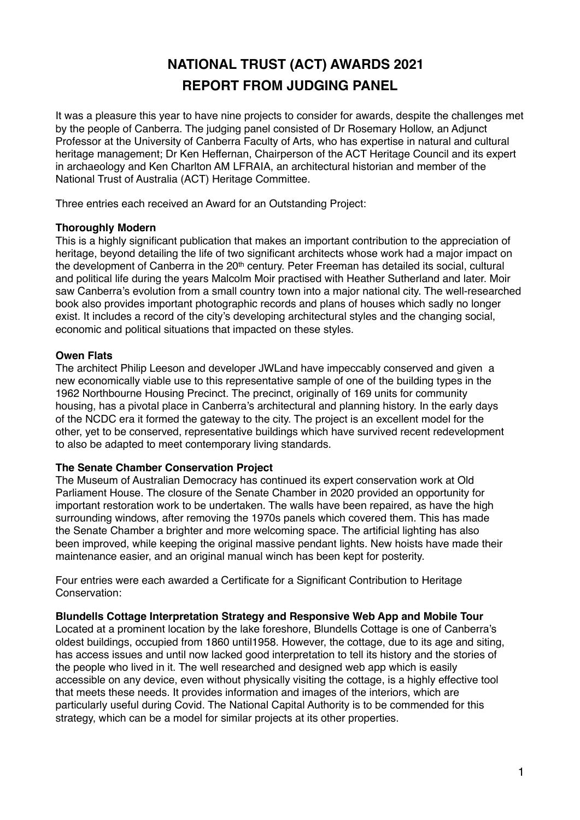# **NATIONAL TRUST (ACT) AWARDS 2021 REPORT FROM JUDGING PANEL**

It was a pleasure this year to have nine projects to consider for awards, despite the challenges met by the people of Canberra. The judging panel consisted of Dr Rosemary Hollow, an Adjunct Professor at the University of Canberra Faculty of Arts, who has expertise in natural and cultural heritage management; Dr Ken Heffernan, Chairperson of the ACT Heritage Council and its expert in archaeology and Ken Charlton AM LFRAIA, an architectural historian and member of the National Trust of Australia (ACT) Heritage Committee.

Three entries each received an Award for an Outstanding Project:

## **Thoroughly Modern**

This is a highly significant publication that makes an important contribution to the appreciation of heritage, beyond detailing the life of two significant architects whose work had a major impact on the development of Canberra in the 20<sup>th</sup> century. Peter Freeman has detailed its social, cultural and political life during the years Malcolm Moir practised with Heather Sutherland and later. Moir saw Canberra's evolution from a small country town into a major national city. The well-researched book also provides important photographic records and plans of houses which sadly no longer exist. It includes a record of the city's developing architectural styles and the changing social, economic and political situations that impacted on these styles.

# **Owen Flats**

The architect Philip Leeson and developer JWLand have impeccably conserved and given a new economically viable use to this representative sample of one of the building types in the 1962 Northbourne Housing Precinct. The precinct, originally of 169 units for community housing, has a pivotal place in Canberra's architectural and planning history. In the early days of the NCDC era it formed the gateway to the city. The project is an excellent model for the other, yet to be conserved, representative buildings which have survived recent redevelopment to also be adapted to meet contemporary living standards.

## **The Senate Chamber Conservation Project**

The Museum of Australian Democracy has continued its expert conservation work at Old Parliament House. The closure of the Senate Chamber in 2020 provided an opportunity for important restoration work to be undertaken. The walls have been repaired, as have the high surrounding windows, after removing the 1970s panels which covered them. This has made the Senate Chamber a brighter and more welcoming space. The artificial lighting has also been improved, while keeping the original massive pendant lights. New hoists have made their maintenance easier, and an original manual winch has been kept for posterity.

Four entries were each awarded a Certificate for a Significant Contribution to Heritage Conservation:

## **Blundells Cottage Interpretation Strategy and Responsive Web App and Mobile Tour**

Located at a prominent location by the lake foreshore, Blundells Cottage is one of Canberra's oldest buildings, occupied from 1860 until1958. However, the cottage, due to its age and siting, has access issues and until now lacked good interpretation to tell its history and the stories of the people who lived in it. The well researched and designed web app which is easily accessible on any device, even without physically visiting the cottage, is a highly effective tool that meets these needs. It provides information and images of the interiors, which are particularly useful during Covid. The National Capital Authority is to be commended for this strategy, which can be a model for similar projects at its other properties.